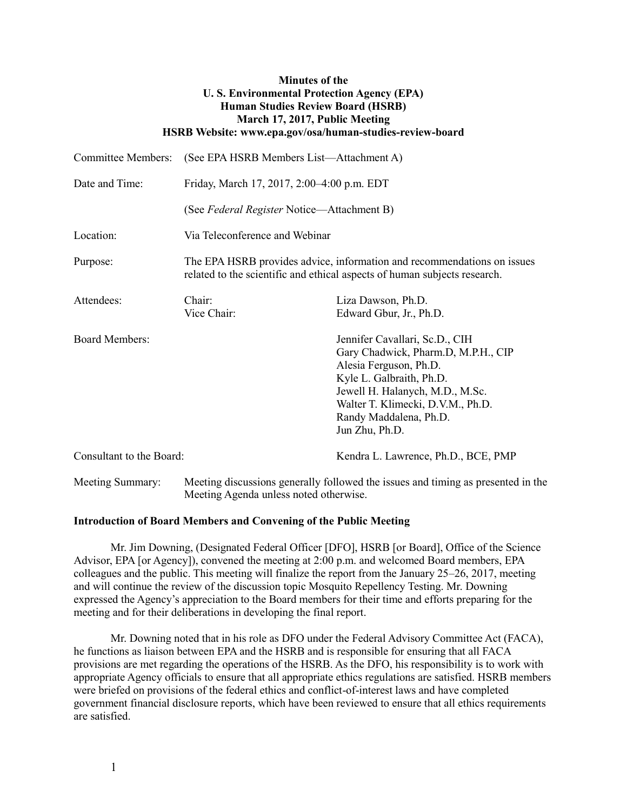| <b>Minutes of the</b><br><b>U.S. Environmental Protection Agency (EPA)</b><br><b>Human Studies Review Board (HSRB)</b><br>March 17, 2017, Public Meeting<br>HSRB Website: www.epa.gov/osa/human-studies-review-board |                                                                                                                                                      |                                                                                                                                                                                                                                                 |
|----------------------------------------------------------------------------------------------------------------------------------------------------------------------------------------------------------------------|------------------------------------------------------------------------------------------------------------------------------------------------------|-------------------------------------------------------------------------------------------------------------------------------------------------------------------------------------------------------------------------------------------------|
| <b>Committee Members:</b>                                                                                                                                                                                            | (See EPA HSRB Members List-Attachment A)                                                                                                             |                                                                                                                                                                                                                                                 |
| Date and Time:                                                                                                                                                                                                       | Friday, March 17, 2017, 2:00–4:00 p.m. EDT                                                                                                           |                                                                                                                                                                                                                                                 |
|                                                                                                                                                                                                                      | (See Federal Register Notice—Attachment B)                                                                                                           |                                                                                                                                                                                                                                                 |
| Location:                                                                                                                                                                                                            | Via Teleconference and Webinar                                                                                                                       |                                                                                                                                                                                                                                                 |
| Purpose:                                                                                                                                                                                                             | The EPA HSRB provides advice, information and recommendations on issues<br>related to the scientific and ethical aspects of human subjects research. |                                                                                                                                                                                                                                                 |
| Attendees:                                                                                                                                                                                                           | Chair:<br>Vice Chair:                                                                                                                                | Liza Dawson, Ph.D.<br>Edward Gbur, Jr., Ph.D.                                                                                                                                                                                                   |
| <b>Board Members:</b>                                                                                                                                                                                                |                                                                                                                                                      | Jennifer Cavallari, Sc.D., CIH<br>Gary Chadwick, Pharm.D, M.P.H., CIP<br>Alesia Ferguson, Ph.D.<br>Kyle L. Galbraith, Ph.D.<br>Jewell H. Halanych, M.D., M.Sc.<br>Walter T. Klimecki, D.V.M., Ph.D.<br>Randy Maddalena, Ph.D.<br>Jun Zhu, Ph.D. |
| Consultant to the Board:                                                                                                                                                                                             |                                                                                                                                                      | Kendra L. Lawrence, Ph.D., BCE, PMP                                                                                                                                                                                                             |
| Meeting Summary:                                                                                                                                                                                                     | Meeting discussions generally followed the issues and timing as presented in the<br>Meeting Agenda unless noted otherwise.                           |                                                                                                                                                                                                                                                 |

### **Introduction of Board Members and Convening of the Public Meeting**

Mr. Jim Downing, (Designated Federal Officer [DFO], HSRB [or Board], Office of the Science Advisor, EPA [or Agency]), convened the meeting at 2:00 p.m. and welcomed Board members, EPA colleagues and the public. This meeting will finalize the report from the January 25–26, 2017, meeting and will continue the review of the discussion topic Mosquito Repellency Testing. Mr. Downing expressed the Agency's appreciation to the Board members for their time and efforts preparing for the meeting and for their deliberations in developing the final report.

Mr. Downing noted that in his role as DFO under the Federal Advisory Committee Act (FACA), he functions as liaison between EPA and the HSRB and is responsible for ensuring that all FACA provisions are met regarding the operations of the HSRB. As the DFO, his responsibility is to work with appropriate Agency officials to ensure that all appropriate ethics regulations are satisfied. HSRB members were briefed on provisions of the federal ethics and conflict-of-interest laws and have completed government financial disclosure reports, which have been reviewed to ensure that all ethics requirements are satisfied.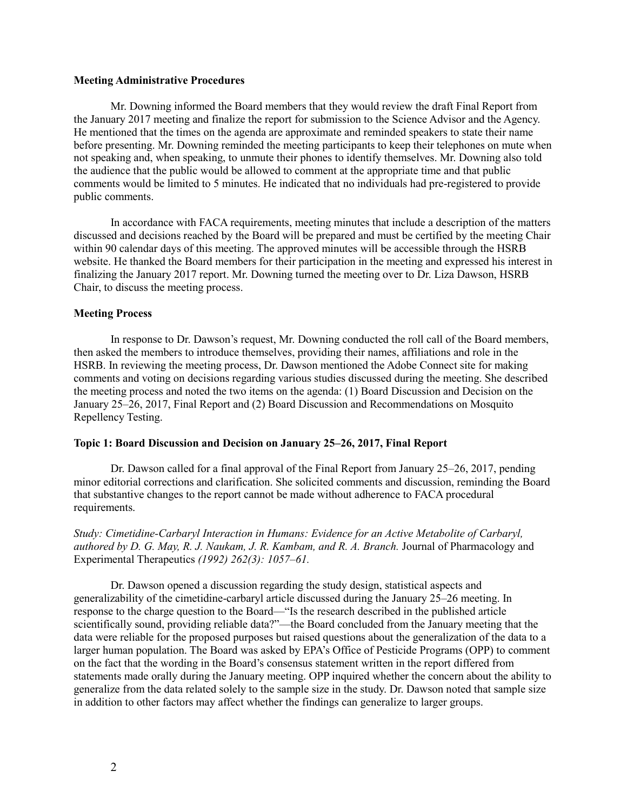#### **Meeting Administrative Procedures**

Mr. Downing informed the Board members that they would review the draft Final Report from the January 2017 meeting and finalize the report for submission to the Science Advisor and the Agency. He mentioned that the times on the agenda are approximate and reminded speakers to state their name before presenting. Mr. Downing reminded the meeting participants to keep their telephones on mute when not speaking and, when speaking, to unmute their phones to identify themselves. Mr. Downing also told the audience that the public would be allowed to comment at the appropriate time and that public comments would be limited to 5 minutes. He indicated that no individuals had pre-registered to provide public comments.

In accordance with FACA requirements, meeting minutes that include a description of the matters discussed and decisions reached by the Board will be prepared and must be certified by the meeting Chair within 90 calendar days of this meeting. The approved minutes will be accessible through the HSRB website. He thanked the Board members for their participation in the meeting and expressed his interest in finalizing the January 2017 report. Mr. Downing turned the meeting over to Dr. Liza Dawson, HSRB Chair, to discuss the meeting process.

### **Meeting Process**

In response to Dr. Dawson's request, Mr. Downing conducted the roll call of the Board members, then asked the members to introduce themselves, providing their names, affiliations and role in the HSRB. In reviewing the meeting process, Dr. Dawson mentioned the Adobe Connect site for making comments and voting on decisions regarding various studies discussed during the meeting. She described the meeting process and noted the two items on the agenda: (1) Board Discussion and Decision on the January 25–26, 2017, Final Report and (2) Board Discussion and Recommendations on Mosquito Repellency Testing.

#### **Topic 1: Board Discussion and Decision on January 25–26, 2017, Final Report**

Dr. Dawson called for a final approval of the Final Report from January 25–26, 2017, pending minor editorial corrections and clarification. She solicited comments and discussion, reminding the Board that substantive changes to the report cannot be made without adherence to FACA procedural requirements.

*Study: Cimetidine-Carbaryl Interaction in Humans: Evidence for an Active Metabolite of Carbaryl, authored by D. G. May, R. J. Naukam, J. R. Kambam, and R. A. Branch.* Journal of Pharmacology and Experimental Therapeutics *(1992) 262(3): 1057–61.*

Dr. Dawson opened a discussion regarding the study design, statistical aspects and generalizability of the cimetidine-carbaryl article discussed during the January 25–26 meeting. In response to the charge question to the Board—"Is the research described in the published article scientifically sound, providing reliable data?"—the Board concluded from the January meeting that the data were reliable for the proposed purposes but raised questions about the generalization of the data to a larger human population. The Board was asked by EPA's Office of Pesticide Programs (OPP) to comment on the fact that the wording in the Board's consensus statement written in the report differed from statements made orally during the January meeting. OPP inquired whether the concern about the ability to generalize from the data related solely to the sample size in the study. Dr. Dawson noted that sample size in addition to other factors may affect whether the findings can generalize to larger groups.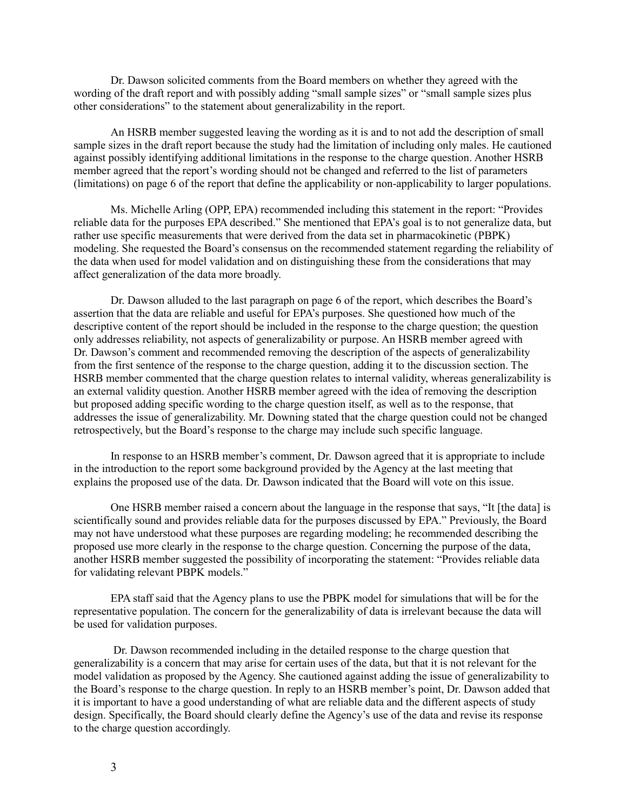Dr. Dawson solicited comments from the Board members on whether they agreed with the wording of the draft report and with possibly adding "small sample sizes" or "small sample sizes plus other considerations" to the statement about generalizability in the report.

An HSRB member suggested leaving the wording as it is and to not add the description of small sample sizes in the draft report because the study had the limitation of including only males. He cautioned against possibly identifying additional limitations in the response to the charge question. Another HSRB member agreed that the report's wording should not be changed and referred to the list of parameters (limitations) on page 6 of the report that define the applicability or non-applicability to larger populations.

Ms. Michelle Arling (OPP, EPA) recommended including this statement in the report: "Provides reliable data for the purposes EPA described." She mentioned that EPA's goal is to not generalize data, but rather use specific measurements that were derived from the data set in pharmacokinetic (PBPK) modeling. She requested the Board's consensus on the recommended statement regarding the reliability of the data when used for model validation and on distinguishing these from the considerations that may affect generalization of the data more broadly.

Dr. Dawson alluded to the last paragraph on page 6 of the report, which describes the Board's assertion that the data are reliable and useful for EPA's purposes. She questioned how much of the descriptive content of the report should be included in the response to the charge question; the question only addresses reliability, not aspects of generalizability or purpose. An HSRB member agreed with Dr. Dawson's comment and recommended removing the description of the aspects of generalizability from the first sentence of the response to the charge question, adding it to the discussion section. The HSRB member commented that the charge question relates to internal validity, whereas generalizability is an external validity question. Another HSRB member agreed with the idea of removing the description but proposed adding specific wording to the charge question itself, as well as to the response, that addresses the issue of generalizability. Mr. Downing stated that the charge question could not be changed retrospectively, but the Board's response to the charge may include such specific language.

In response to an HSRB member's comment, Dr. Dawson agreed that it is appropriate to include in the introduction to the report some background provided by the Agency at the last meeting that explains the proposed use of the data. Dr. Dawson indicated that the Board will vote on this issue.

One HSRB member raised a concern about the language in the response that says, "It [the data] is scientifically sound and provides reliable data for the purposes discussed by EPA." Previously, the Board may not have understood what these purposes are regarding modeling; he recommended describing the proposed use more clearly in the response to the charge question. Concerning the purpose of the data, another HSRB member suggested the possibility of incorporating the statement: "Provides reliable data for validating relevant PBPK models."

EPA staff said that the Agency plans to use the PBPK model for simulations that will be for the representative population. The concern for the generalizability of data is irrelevant because the data will be used for validation purposes.

Dr. Dawson recommended including in the detailed response to the charge question that generalizability is a concern that may arise for certain uses of the data, but that it is not relevant for the model validation as proposed by the Agency. She cautioned against adding the issue of generalizability to the Board's response to the charge question. In reply to an HSRB member's point, Dr. Dawson added that it is important to have a good understanding of what are reliable data and the different aspects of study design. Specifically, the Board should clearly define the Agency's use of the data and revise its response to the charge question accordingly.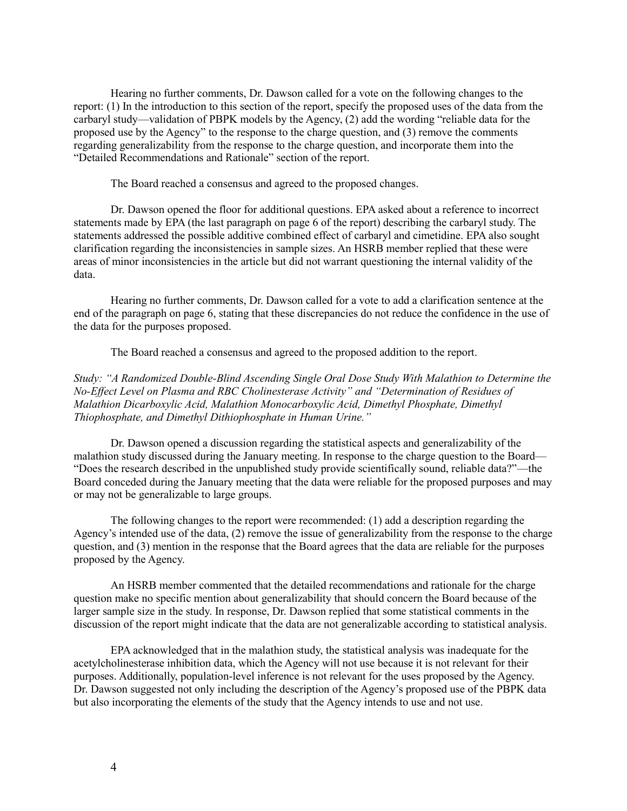Hearing no further comments, Dr. Dawson called for a vote on the following changes to the report: (1) In the introduction to this section of the report, specify the proposed uses of the data from the carbaryl study—validation of PBPK models by the Agency, (2) add the wording "reliable data for the proposed use by the Agency" to the response to the charge question, and (3) remove the comments regarding generalizability from the response to the charge question, and incorporate them into the "Detailed Recommendations and Rationale" section of the report.

The Board reached a consensus and agreed to the proposed changes.

Dr. Dawson opened the floor for additional questions. EPA asked about a reference to incorrect statements made by EPA (the last paragraph on page 6 of the report) describing the carbaryl study. The statements addressed the possible additive combined effect of carbaryl and cimetidine. EPA also sought clarification regarding the inconsistencies in sample sizes. An HSRB member replied that these were areas of minor inconsistencies in the article but did not warrant questioning the internal validity of the data.

Hearing no further comments, Dr. Dawson called for a vote to add a clarification sentence at the end of the paragraph on page 6, stating that these discrepancies do not reduce the confidence in the use of the data for the purposes proposed.

The Board reached a consensus and agreed to the proposed addition to the report.

*Study: "A Randomized Double-Blind Ascending Single Oral Dose Study With Malathion to Determine the No-Effect Level on Plasma and RBC Cholinesterase Activity" and "Determination of Residues of Malathion Dicarboxylic Acid, Malathion Monocarboxylic Acid, Dimethyl Phosphate, Dimethyl Thiophosphate, and Dimethyl Dithiophosphate in Human Urine."*

Dr. Dawson opened a discussion regarding the statistical aspects and generalizability of the malathion study discussed during the January meeting. In response to the charge question to the Board— "Does the research described in the unpublished study provide scientifically sound, reliable data?"—the Board conceded during the January meeting that the data were reliable for the proposed purposes and may or may not be generalizable to large groups.

The following changes to the report were recommended: (1) add a description regarding the Agency's intended use of the data, (2) remove the issue of generalizability from the response to the charge question, and (3) mention in the response that the Board agrees that the data are reliable for the purposes proposed by the Agency.

An HSRB member commented that the detailed recommendations and rationale for the charge question make no specific mention about generalizability that should concern the Board because of the larger sample size in the study. In response, Dr. Dawson replied that some statistical comments in the discussion of the report might indicate that the data are not generalizable according to statistical analysis.

EPA acknowledged that in the malathion study, the statistical analysis was inadequate for the acetylcholinesterase inhibition data, which the Agency will not use because it is not relevant for their purposes. Additionally, population-level inference is not relevant for the uses proposed by the Agency. Dr. Dawson suggested not only including the description of the Agency's proposed use of the PBPK data but also incorporating the elements of the study that the Agency intends to use and not use.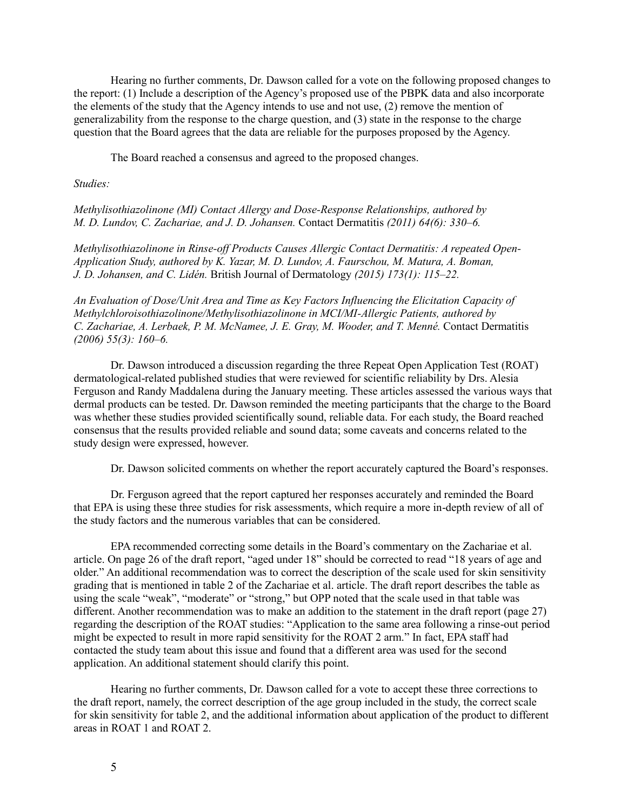Hearing no further comments, Dr. Dawson called for a vote on the following proposed changes to the report: (1) Include a description of the Agency's proposed use of the PBPK data and also incorporate the elements of the study that the Agency intends to use and not use, (2) remove the mention of generalizability from the response to the charge question, and (3) state in the response to the charge question that the Board agrees that the data are reliable for the purposes proposed by the Agency.

The Board reached a consensus and agreed to the proposed changes.

*Studies:*

*Methylisothiazolinone (MI) Contact Allergy and Dose-Response Relationships, authored by M. D. Lundov, C. Zachariae, and J. D. Johansen.* Contact Dermatitis *(2011) 64(6): 330–6.*

*Methylisothiazolinone in Rinse-off Products Causes Allergic Contact Dermatitis: A repeated Open-Application Study, authored by K. Yazar, M. D. Lundov, A. Faurschou, M. Matura, A. Boman, J. D. Johansen, and C. Lidén.* British Journal of Dermatology *(2015) 173(1): 115–22.*

*An Evaluation of Dose/Unit Area and Time as Key Factors Influencing the Elicitation Capacity of Methylchloroisothiazolinone/Methylisothiazolinone in MCI/MI-Allergic Patients, authored by C. Zachariae, A. Lerbaek, P. M. McNamee, J. E. Gray, M. Wooder, and T. Menné.* Contact Dermatitis *(2006) 55(3): 160–6.*

Dr. Dawson introduced a discussion regarding the three Repeat Open Application Test (ROAT) dermatological-related published studies that were reviewed for scientific reliability by Drs. Alesia Ferguson and Randy Maddalena during the January meeting. These articles assessed the various ways that dermal products can be tested. Dr. Dawson reminded the meeting participants that the charge to the Board was whether these studies provided scientifically sound, reliable data. For each study, the Board reached consensus that the results provided reliable and sound data; some caveats and concerns related to the study design were expressed, however.

Dr. Dawson solicited comments on whether the report accurately captured the Board's responses.

Dr. Ferguson agreed that the report captured her responses accurately and reminded the Board that EPA is using these three studies for risk assessments, which require a more in-depth review of all of the study factors and the numerous variables that can be considered.

EPA recommended correcting some details in the Board's commentary on the Zachariae et al. article. On page 26 of the draft report, "aged under 18" should be corrected to read "18 years of age and older." An additional recommendation was to correct the description of the scale used for skin sensitivity grading that is mentioned in table 2 of the Zachariae et al. article. The draft report describes the table as using the scale "weak", "moderate" or "strong," but OPP noted that the scale used in that table was different. Another recommendation was to make an addition to the statement in the draft report (page 27) regarding the description of the ROAT studies: "Application to the same area following a rinse-out period might be expected to result in more rapid sensitivity for the ROAT 2 arm." In fact, EPA staff had contacted the study team about this issue and found that a different area was used for the second application. An additional statement should clarify this point.

Hearing no further comments, Dr. Dawson called for a vote to accept these three corrections to the draft report, namely, the correct description of the age group included in the study, the correct scale for skin sensitivity for table 2, and the additional information about application of the product to different areas in ROAT 1 and ROAT 2.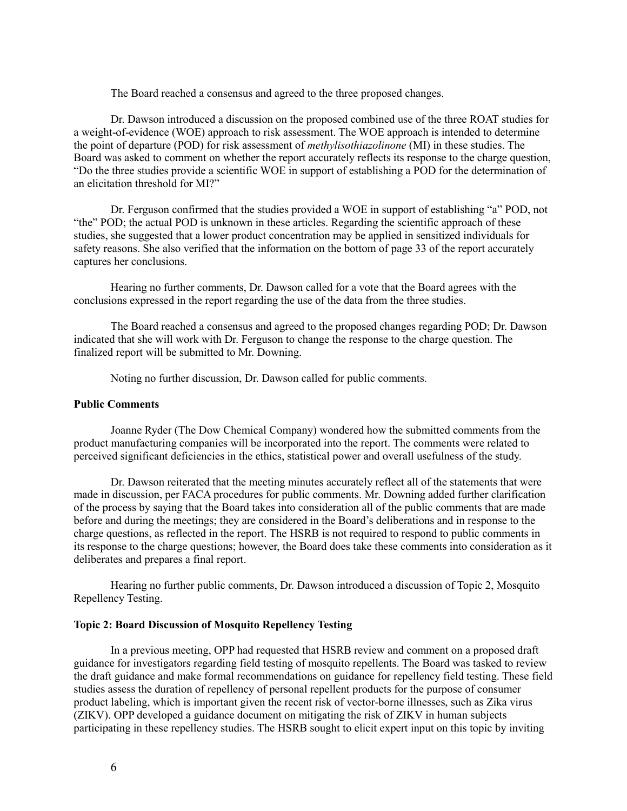The Board reached a consensus and agreed to the three proposed changes.

Dr. Dawson introduced a discussion on the proposed combined use of the three ROAT studies for a weight-of-evidence (WOE) approach to risk assessment. The WOE approach is intended to determine the point of departure (POD) for risk assessment of *methylisothiazolinone* (MI) in these studies. The Board was asked to comment on whether the report accurately reflects its response to the charge question, "Do the three studies provide a scientific WOE in support of establishing a POD for the determination of an elicitation threshold for MI?"

Dr. Ferguson confirmed that the studies provided a WOE in support of establishing "a" POD, not "the" POD; the actual POD is unknown in these articles. Regarding the scientific approach of these studies, she suggested that a lower product concentration may be applied in sensitized individuals for safety reasons. She also verified that the information on the bottom of page 33 of the report accurately captures her conclusions.

Hearing no further comments, Dr. Dawson called for a vote that the Board agrees with the conclusions expressed in the report regarding the use of the data from the three studies.

The Board reached a consensus and agreed to the proposed changes regarding POD; Dr. Dawson indicated that she will work with Dr. Ferguson to change the response to the charge question. The finalized report will be submitted to Mr. Downing.

Noting no further discussion, Dr. Dawson called for public comments.

### **Public Comments**

Joanne Ryder (The Dow Chemical Company) wondered how the submitted comments from the product manufacturing companies will be incorporated into the report. The comments were related to perceived significant deficiencies in the ethics, statistical power and overall usefulness of the study.

Dr. Dawson reiterated that the meeting minutes accurately reflect all of the statements that were made in discussion, per FACA procedures for public comments. Mr. Downing added further clarification of the process by saying that the Board takes into consideration all of the public comments that are made before and during the meetings; they are considered in the Board's deliberations and in response to the charge questions, as reflected in the report. The HSRB is not required to respond to public comments in its response to the charge questions; however, the Board does take these comments into consideration as it deliberates and prepares a final report.

Hearing no further public comments, Dr. Dawson introduced a discussion of Topic 2, Mosquito Repellency Testing.

## **Topic 2: Board Discussion of Mosquito Repellency Testing**

In a previous meeting, OPP had requested that HSRB review and comment on a proposed draft guidance for investigators regarding field testing of mosquito repellents. The Board was tasked to review the draft guidance and make formal recommendations on guidance for repellency field testing. These field studies assess the duration of repellency of personal repellent products for the purpose of consumer product labeling, which is important given the recent risk of vector-borne illnesses, such as Zika virus (ZIKV). OPP developed a guidance document on mitigating the risk of ZIKV in human subjects participating in these repellency studies. The HSRB sought to elicit expert input on this topic by inviting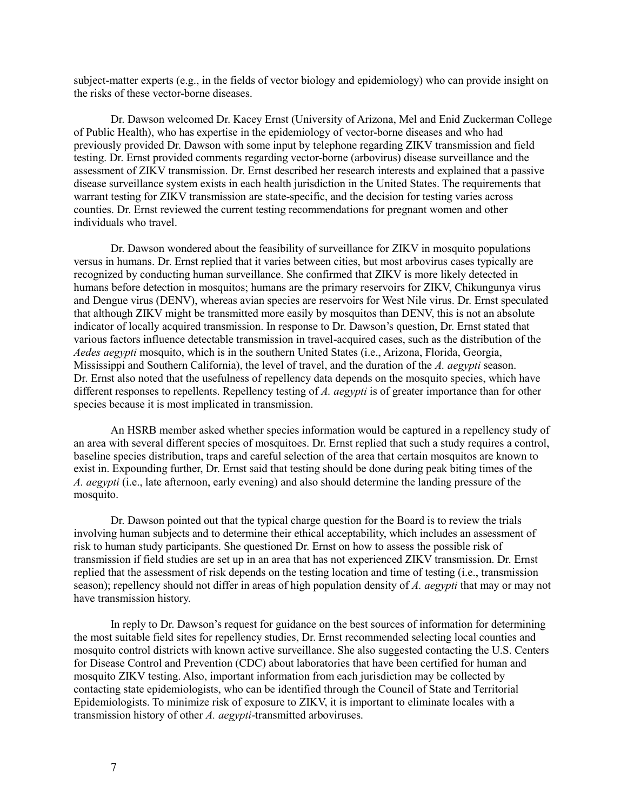subject-matter experts (e.g., in the fields of vector biology and epidemiology) who can provide insight on the risks of these vector-borne diseases.

Dr. Dawson welcomed Dr. Kacey Ernst (University of Arizona, Mel and Enid Zuckerman College of Public Health), who has expertise in the epidemiology of vector-borne diseases and who had previously provided Dr. Dawson with some input by telephone regarding ZIKV transmission and field testing. Dr. Ernst provided comments regarding vector-borne (arbovirus) disease surveillance and the assessment of ZIKV transmission. Dr. Ernst described her research interests and explained that a passive disease surveillance system exists in each health jurisdiction in the United States. The requirements that warrant testing for ZIKV transmission are state-specific, and the decision for testing varies across counties. Dr. Ernst reviewed the current testing recommendations for pregnant women and other individuals who travel.

Dr. Dawson wondered about the feasibility of surveillance for ZIKV in mosquito populations versus in humans. Dr. Ernst replied that it varies between cities, but most arbovirus cases typically are recognized by conducting human surveillance. She confirmed that ZIKV is more likely detected in humans before detection in mosquitos; humans are the primary reservoirs for ZIKV, Chikungunya virus and Dengue virus (DENV), whereas avian species are reservoirs for West Nile virus. Dr. Ernst speculated that although ZIKV might be transmitted more easily by mosquitos than DENV, this is not an absolute indicator of locally acquired transmission. In response to Dr. Dawson's question, Dr. Ernst stated that various factors influence detectable transmission in travel-acquired cases, such as the distribution of the *Aedes aegypti* mosquito, which is in the southern United States (i.e., Arizona, Florida, Georgia, Mississippi and Southern California), the level of travel, and the duration of the *A. aegypti* season. Dr. Ernst also noted that the usefulness of repellency data depends on the mosquito species, which have different responses to repellents. Repellency testing of *A. aegypti* is of greater importance than for other species because it is most implicated in transmission.

An HSRB member asked whether species information would be captured in a repellency study of an area with several different species of mosquitoes. Dr. Ernst replied that such a study requires a control, baseline species distribution, traps and careful selection of the area that certain mosquitos are known to exist in. Expounding further, Dr. Ernst said that testing should be done during peak biting times of the *A. aegypti* (i.e., late afternoon, early evening) and also should determine the landing pressure of the mosquito.

Dr. Dawson pointed out that the typical charge question for the Board is to review the trials involving human subjects and to determine their ethical acceptability, which includes an assessment of risk to human study participants. She questioned Dr. Ernst on how to assess the possible risk of transmission if field studies are set up in an area that has not experienced ZIKV transmission. Dr. Ernst replied that the assessment of risk depends on the testing location and time of testing (i.e., transmission season); repellency should not differ in areas of high population density of *A. aegypti* that may or may not have transmission history.

In reply to Dr. Dawson's request for guidance on the best sources of information for determining the most suitable field sites for repellency studies, Dr. Ernst recommended selecting local counties and mosquito control districts with known active surveillance. She also suggested contacting the U.S. Centers for Disease Control and Prevention (CDC) about laboratories that have been certified for human and mosquito ZIKV testing. Also, important information from each jurisdiction may be collected by contacting state epidemiologists, who can be identified through the Council of State and Territorial Epidemiologists. To minimize risk of exposure to ZIKV, it is important to eliminate locales with a transmission history of other *A. aegypti*-transmitted arboviruses.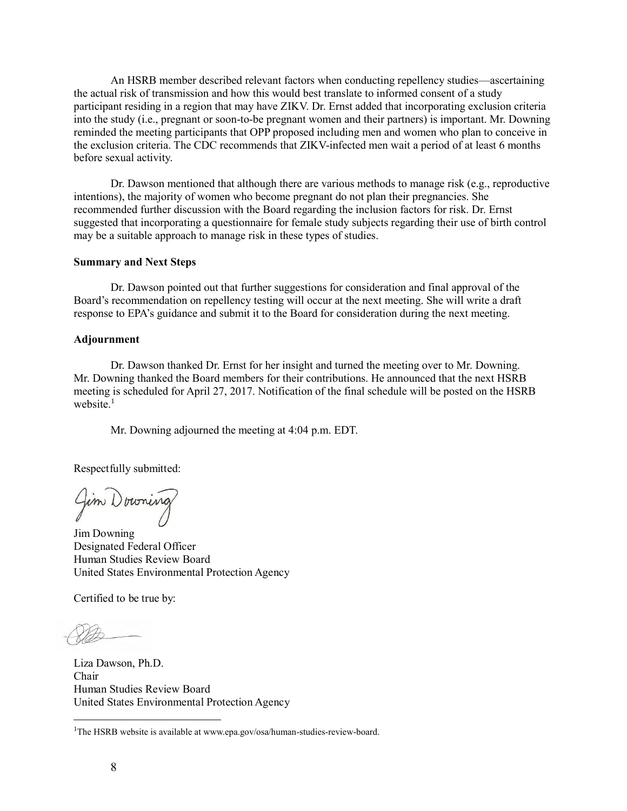An HSRB member described relevant factors when conducting repellency studies—ascertaining the actual risk of transmission and how this would best translate to informed consent of a study participant residing in a region that may have ZIKV. Dr. Ernst added that incorporating exclusion criteria into the study (i.e., pregnant or soon-to-be pregnant women and their partners) is important. Mr. Downing reminded the meeting participants that OPP proposed including men and women who plan to conceive in the exclusion criteria. The CDC recommends that ZIKV-infected men wait a period of at least 6 months before sexual activity.

Dr. Dawson mentioned that although there are various methods to manage risk (e.g., reproductive intentions), the majority of women who become pregnant do not plan their pregnancies. She recommended further discussion with the Board regarding the inclusion factors for risk. Dr. Ernst suggested that incorporating a questionnaire for female study subjects regarding their use of birth control may be a suitable approach to manage risk in these types of studies.

### **Summary and Next Steps**

Dr. Dawson pointed out that further suggestions for consideration and final approval of the Board's recommendation on repellency testing will occur at the next meeting. She will write a draft response to EPA's guidance and submit it to the Board for consideration during the next meeting.

#### **Adjournment**

Dr. Dawson thanked Dr. Ernst for her insight and turned the meeting over to Mr. Downing. Mr. Downing thanked the Board members for their contributions. He announced that the next HSRB meeting is scheduled for April 27, 2017. Notification of the final schedule will be posted on the HSRB website. $1$ 

Mr. Downing adjourned the meeting at 4:04 p.m. EDT.

Respectfully submitted:

Jim Downing

Jim Downing Designated Federal Officer Human Studies Review Board United States Environmental Protection Agency

Certified to be true by:

 $\overline{\phantom{a}}$ 

Liza Dawson, Ph.D. Chair Human Studies Review Board United States Environmental Protection Agency

<sup>1</sup>The HSRB website is available a[t www.epa.gov/osa/human-studies-review-board.](http://www.epa.gov/osa/human-studies-review-board)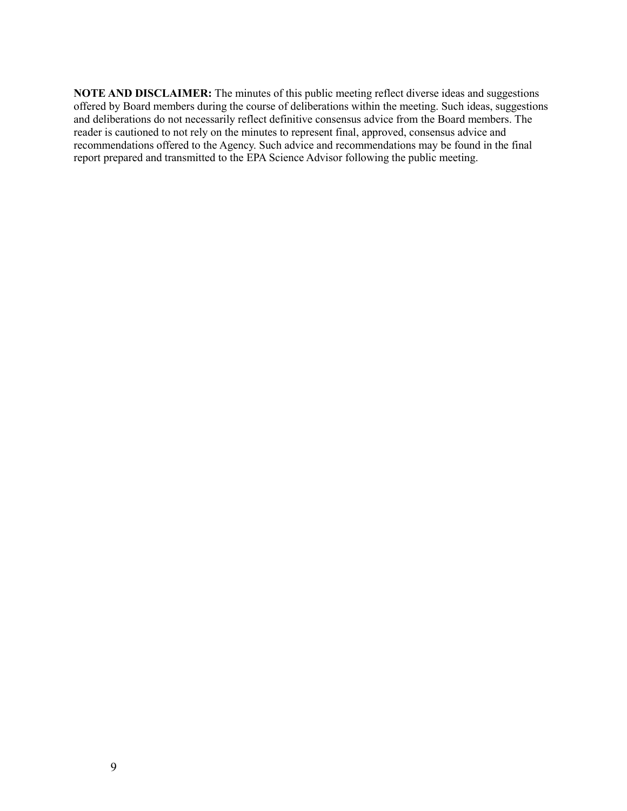**NOTE AND DISCLAIMER:** The minutes of this public meeting reflect diverse ideas and suggestions offered by Board members during the course of deliberations within the meeting. Such ideas, suggestions and deliberations do not necessarily reflect definitive consensus advice from the Board members. The reader is cautioned to not rely on the minutes to represent final, approved, consensus advice and recommendations offered to the Agency. Such advice and recommendations may be found in the final report prepared and transmitted to the EPA Science Advisor following the public meeting.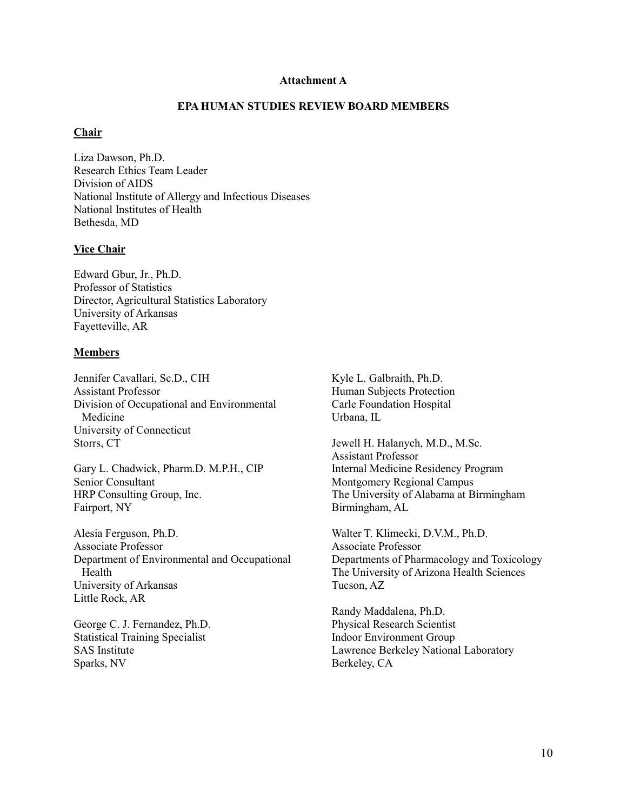#### **Attachment A**

### **EPA HUMAN STUDIES REVIEW BOARD MEMBERS**

## **Chair**

Liza Dawson, Ph.D. Research Ethics Team Leader Division of AIDS National Institute of Allergy and Infectious Diseases National Institutes of Health Bethesda, MD

### **Vice Chair**

Edward Gbur, Jr., Ph.D. Professor of Statistics Director, Agricultural Statistics Laboratory University of Arkansas Fayetteville, AR

#### **Members**

Jennifer Cavallari, Sc.D., CIH Assistant Professor Division of Occupational and Environmental Medicine University of Connecticut Storrs, CT

Gary L. Chadwick, Pharm.D. M.P.H., CIP Senior Consultant HRP Consulting Group, Inc. Fairport, NY

Alesia Ferguson, Ph.D. Associate Professor Department of Environmental and Occupational Health University of Arkansas Little Rock, AR

George C. J. Fernandez, Ph.D. Statistical Training Specialist SAS Institute Sparks, NV

Kyle L. Galbraith, Ph.D. Human Subjects Protection Carle Foundation Hospital Urbana, IL

Jewell H. Halanych, M.D., M.Sc. Assistant Professor Internal Medicine Residency Program Montgomery Regional Campus The University of Alabama at Birmingham Birmingham, AL

Walter T. Klimecki, D.V.M., Ph.D. Associate Professor Departments of Pharmacology and Toxicology The University of Arizona Health Sciences Tucson, AZ

Randy Maddalena, Ph.D. Physical Research Scientist Indoor Environment Group Lawrence Berkeley National Laboratory Berkeley, CA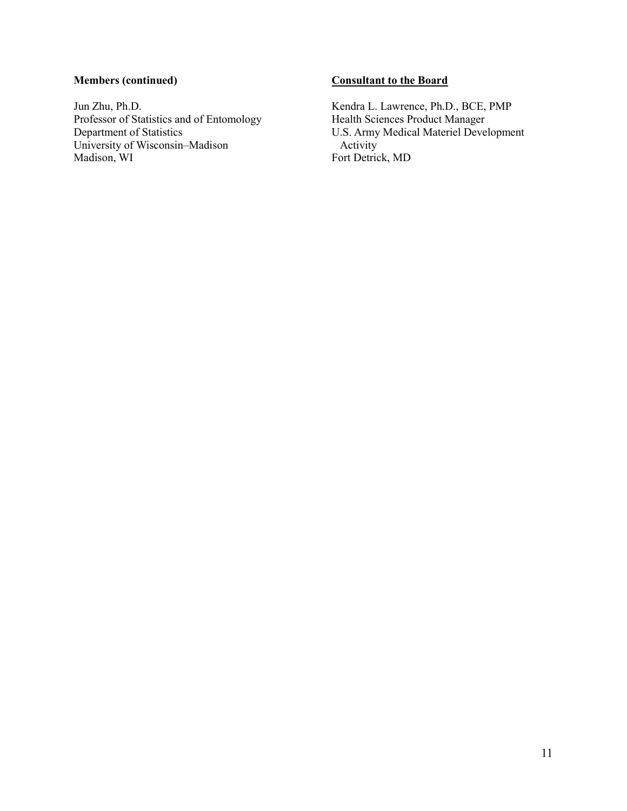# **Members (continued)**

Jun Zhu, Ph.D. Professor of Statistics and of Entomology Department of Statistics University of Wisconsin–Madison Madison, WI

# **Consultant to the Board**

Kendra L. Lawrence, Ph.D., BCE, PMP Health Sciences Product Manager U.S. Army Medical Materiel Development Activity Fort Detrick, MD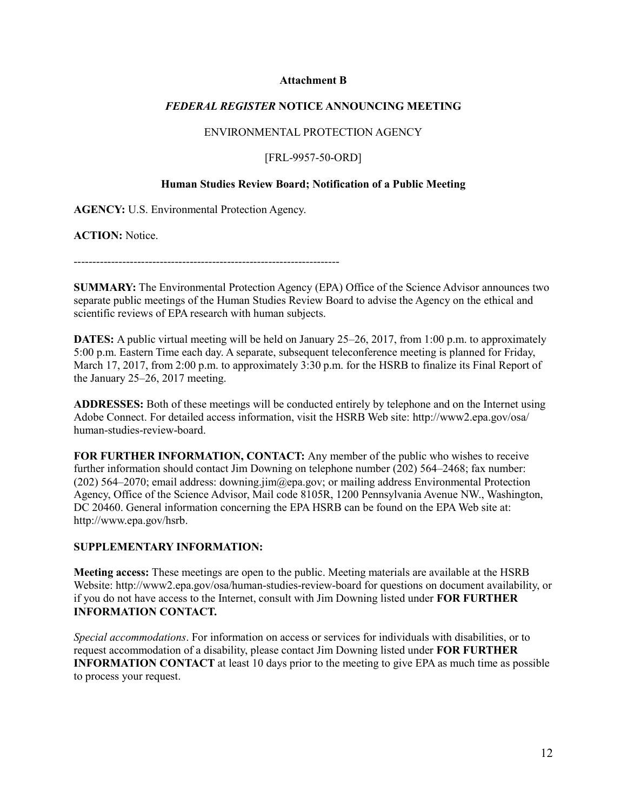### **Attachment B**

## *FEDERAL REGISTER* **NOTICE ANNOUNCING MEETING**

# ENVIRONMENTAL PROTECTION AGENCY

[FRL-9957-50-ORD]

### **Human Studies Review Board; Notification of a Public Meeting**

**AGENCY:** U.S. Environmental Protection Agency.

**ACTION:** Notice.

-----------------------------------------------------------------------

**SUMMARY:** The Environmental Protection Agency (EPA) Office of the Science Advisor announces two separate public meetings of the Human Studies Review Board to advise the Agency on the ethical and scientific reviews of EPA research with human subjects.

**DATES:** A public virtual meeting will be held on January 25–26, 2017, from 1:00 p.m. to approximately 5:00 p.m. Eastern Time each day. A separate, subsequent teleconference meeting is planned for Friday, March 17, 2017, from 2:00 p.m. to approximately 3:30 p.m. for the HSRB to finalize its Final Report of the January 25–26, 2017 meeting.

**ADDRESSES:** Both of these meetings will be conducted entirely by telephone and on the Internet using Adobe Connect. For detailed access information, visit the HSRB Web site: [http://www2.epa.gov/osa/](http://www2.epa.gov/osa/human-studies-review-board) [human-studies-review-board.](http://www2.epa.gov/osa/human-studies-review-board)

**FOR FURTHER INFORMATION, CONTACT:** Any member of the public who wishes to receive further information should contact Jim Downing on telephone number (202) 564–2468; fax number: (202) 564–2070; email address: [downing.jim@epa.gov;](mailto:downing.jim@epa.gov) or mailing address Environmental Protection Agency, Office of the Science Advisor, Mail code 8105R, 1200 Pennsylvania Avenue NW., Washington, DC 20460. General information concerning the EPA HSRB can be found on the EPA Web site at: [http://www.epa.gov/hsrb.](http://www.epa.gov/hsrb)

## **SUPPLEMENTARY INFORMATION:**

**Meeting access:** These meetings are open to the public. Meeting materials are available at the HSRB Website:<http://www2.epa.gov/osa/human-studies-review-board> for questions on document availability, or if you do not have access to the Internet, consult with Jim Downing listed under **FOR FURTHER INFORMATION CONTACT.**

*Special accommodations*. For information on access or services for individuals with disabilities, or to request accommodation of a disability, please contact Jim Downing listed under **FOR FURTHER INFORMATION CONTACT** at least 10 days prior to the meeting to give EPA as much time as possible to process your request.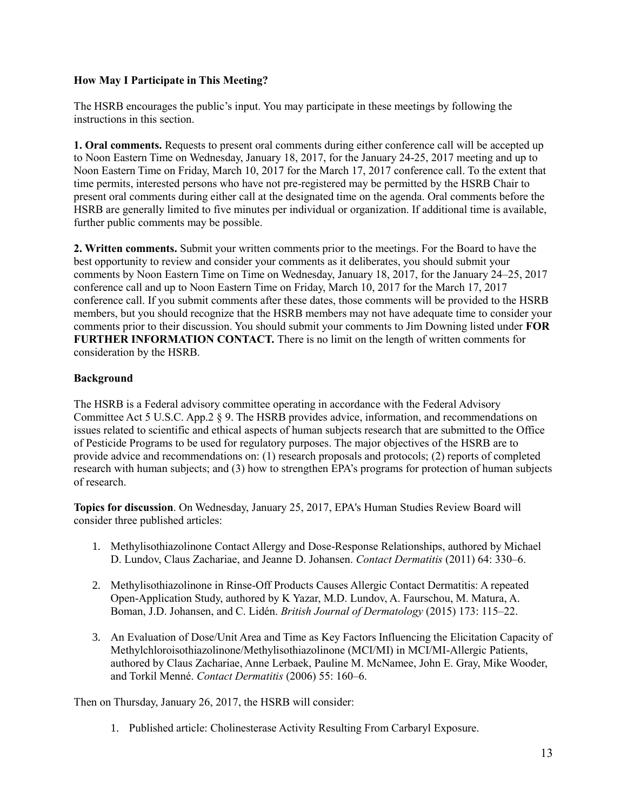# **How May I Participate in This Meeting?**

The HSRB encourages the public's input. You may participate in these meetings by following the instructions in this section.

**1. Oral comments.** Requests to present oral comments during either conference call will be accepted up to Noon Eastern Time on Wednesday, January 18, 2017, for the January 24-25, 2017 meeting and up to Noon Eastern Time on Friday, March 10, 2017 for the March 17, 2017 conference call. To the extent that time permits, interested persons who have not pre-registered may be permitted by the HSRB Chair to present oral comments during either call at the designated time on the agenda. Oral comments before the HSRB are generally limited to five minutes per individual or organization. If additional time is available, further public comments may be possible.

**2. Written comments.** Submit your written comments prior to the meetings. For the Board to have the best opportunity to review and consider your comments as it deliberates, you should submit your comments by Noon Eastern Time on Time on Wednesday, January 18, 2017, for the January 24–25, 2017 conference call and up to Noon Eastern Time on Friday, March 10, 2017 for the March 17, 2017 conference call. If you submit comments after these dates, those comments will be provided to the HSRB members, but you should recognize that the HSRB members may not have adequate time to consider your comments prior to their discussion. You should submit your comments to Jim Downing listed under **FOR FURTHER INFORMATION CONTACT.** There is no limit on the length of written comments for consideration by the HSRB.

# **Background**

The HSRB is a Federal advisory committee operating in accordance with the Federal Advisory Committee Act 5 U.S.C. App.2 § 9. The HSRB provides advice, information, and recommendations on issues related to scientific and ethical aspects of human subjects research that are submitted to the Office of Pesticide Programs to be used for regulatory purposes. The major objectives of the HSRB are to provide advice and recommendations on: (1) research proposals and protocols; (2) reports of completed research with human subjects; and (3) how to strengthen EPA's programs for protection of human subjects of research.

**Topics for discussion**. On Wednesday, January 25, 2017, EPA's Human Studies Review Board will consider three published articles:

- 1. Methylisothiazolinone Contact Allergy and Dose-Response Relationships, authored by Michael D. Lundov, Claus Zachariae, and Jeanne D. Johansen. *Contact Dermatitis* (2011) 64: 330–6.
- 2. Methylisothiazolinone in Rinse-Off Products Causes Allergic Contact Dermatitis: A repeated Open-Application Study, authored by K Yazar, M.D. Lundov, A. Faurschou, M. Matura, A. Boman, J.D. Johansen, and C. Lidén. *British Journal of Dermatology* (2015) 173: 115–22.
- 3. An Evaluation of Dose/Unit Area and Time as Key Factors Influencing the Elicitation Capacity of Methylchloroisothiazolinone/Methylisothiazolinone (MCI/MI) in MCI/MI-Allergic Patients, authored by Claus Zachariae, Anne Lerbaek, Pauline M. McNamee, John E. Gray, Mike Wooder, and Torkil Menné. *Contact Dermatitis* (2006) 55: 160–6.

Then on Thursday, January 26, 2017, the HSRB will consider:

1. Published article: Cholinesterase Activity Resulting From Carbaryl Exposure.